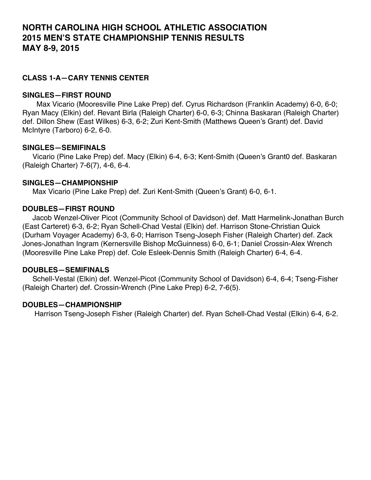# **NORTH CAROLINA HIGH SCHOOL ATHLETIC ASSOCIATION 2015 MEN'S STATE CHAMPIONSHIP TENNIS RESULTS MAY 8-9, 2015**

# **CLASS 1-A—CARY TENNIS CENTER**

#### **SINGLES—FIRST ROUND**

 Max Vicario (Mooresville Pine Lake Prep) def. Cyrus Richardson (Franklin Academy) 6-0, 6-0; Ryan Macy (Elkin) def. Revant Birla (Raleigh Charter) 6-0, 6-3; Chinna Baskaran (Raleigh Charter) def. Dillon Shew (East Wilkes) 6-3, 6-2; Zuri Kent-Smith (Matthews Queen's Grant) def. David McIntyre (Tarboro) 6-2, 6-0.

#### **SINGLES—SEMIFINALS**

 Vicario (Pine Lake Prep) def. Macy (Elkin) 6-4, 6-3; Kent-Smith (Queen's Grant0 def. Baskaran (Raleigh Charter) 7-6(7), 4-6, 6-4.

#### **SINGLES—CHAMPIONSHIP**

Max Vicario (Pine Lake Prep) def. Zuri Kent-Smith (Queen's Grant) 6-0, 6-1.

#### **DOUBLES—FIRST ROUND**

 Jacob Wenzel-Oliver Picot (Community School of Davidson) def. Matt Harmelink-Jonathan Burch (East Carteret) 6-3, 6-2; Ryan Schell-Chad Vestal (Elkin) def. Harrison Stone-Christian Quick (Durham Voyager Academy) 6-3, 6-0; Harrison Tseng-Joseph Fisher (Raleigh Charter) def. Zack Jones-Jonathan Ingram (Kernersville Bishop McGuinness) 6-0, 6-1; Daniel Crossin-Alex Wrench (Mooresville Pine Lake Prep) def. Cole Esleek-Dennis Smith (Raleigh Charter) 6-4, 6-4.

#### **DOUBLES—SEMIFINALS**

 Schell-Vestal (Elkin) def. Wenzel-Picot (Community School of Davidson) 6-4, 6-4; Tseng-Fisher (Raleigh Charter) def. Crossin-Wrench (Pine Lake Prep) 6-2, 7-6(5).

#### **DOUBLES—CHAMPIONSHIP**

Harrison Tseng-Joseph Fisher (Raleigh Charter) def. Ryan Schell-Chad Vestal (Elkin) 6-4, 6-2.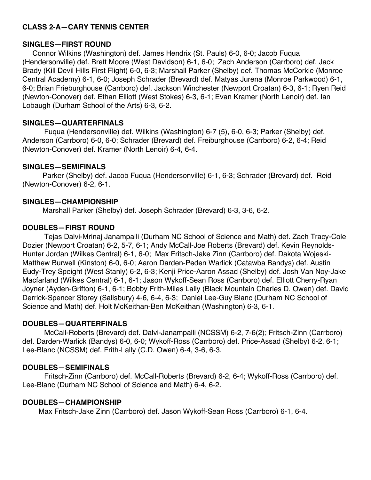# **CLASS 2-A—CARY TENNIS CENTER**

#### **SINGLES—FIRST ROUND**

 Connor Wilkins (Washington) def. James Hendrix (St. Pauls) 6-0, 6-0; Jacob Fuqua (Hendersonville) def. Brett Moore (West Davidson) 6-1, 6-0; Zach Anderson (Carrboro) def. Jack Brady (Kill Devil Hills First Flight) 6-0, 6-3; Marshall Parker (Shelby) def. Thomas McCorkle (Monroe Central Academy) 6-1, 6-0; Joseph Schrader (Brevard) def. Matyas Jurena (Monroe Parkwood) 6-1, 6-0; Brian Frieburghouse (Carrboro) def. Jackson Winchester (Newport Croatan) 6-3, 6-1; Ryen Reid (Newton-Conover) def. Ethan Elliott (West Stokes) 6-3, 6-1; Evan Kramer (North Lenoir) def. Ian Lobaugh (Durham School of the Arts) 6-3, 6-2.

# **SINGLES—QUARTERFINALS**

Fuqua (Hendersonville) def. Wilkins (Washington) 6-7 (5), 6-0, 6-3; Parker (Shelby) def. Anderson (Carrboro) 6-0, 6-0; Schrader (Brevard) def. Freiburghouse (Carrboro) 6-2, 6-4; Reid (Newton-Conover) def. Kramer (North Lenoir) 6-4, 6-4.

## **SINGLES—SEMIFINALS**

 Parker (Shelby) def. Jacob Fuqua (Hendersonville) 6-1, 6-3; Schrader (Brevard) def. Reid (Newton-Conover) 6-2, 6-1.

## **SINGLES—CHAMPIONSHIP**

Marshall Parker (Shelby) def. Joseph Schrader (Brevard) 6-3, 3-6, 6-2.

## **DOUBLES—FIRST ROUND**

Tejas Dalvi-Mrinaj Janampalli (Durham NC School of Science and Math) def. Zach Tracy-Cole Dozier (Newport Croatan) 6-2, 5-7, 6-1; Andy McCall-Joe Roberts (Brevard) def. Kevin Reynolds-Hunter Jordan (Wilkes Central) 6-1, 6-0; Max Fritsch-Jake Zinn (Carrboro) def. Dakota Wojeski-Matthew Burwell (Kinston) 6-0, 6-0; Aaron Darden-Peden Warlick (Catawba Bandys) def. Austin Eudy-Trey Speight (West Stanly) 6-2, 6-3; Kenji Price-Aaron Assad (Shelby) def. Josh Van Noy-Jake Macfarland (Wilkes Central) 6-1, 6-1; Jason Wykoff-Sean Ross (Carrboro) def. Elliott Cherry-Ryan Joyner (Ayden-Grifton) 6-1, 6-1; Bobby Frith-Miles Lally (Black Mountain Charles D. Owen) def. David Derrick-Spencer Storey (Salisbury) 4-6, 6-4, 6-3; Daniel Lee-Guy Blanc (Durham NC School of Science and Math) def. Holt McKeithan-Ben McKeithan (Washington) 6-3, 6-1.

# **DOUBLES—QUARTERFINALS**

McCall-Roberts (Brevard) def. Dalvi-Janampalli (NCSSM) 6-2, 7-6(2); Fritsch-Zinn (Carrboro) def. Darden-Warlick (Bandys) 6-0, 6-0; Wykoff-Ross (Carrboro) def. Price-Assad (Shelby) 6-2, 6-1; Lee-Blanc (NCSSM) def. Frith-Lally (C.D. Owen) 6-4, 3-6, 6-3.

# **DOUBLES—SEMIFINALS**

Fritsch-Zinn (Carrboro) def. McCall-Roberts (Brevard) 6-2, 6-4; Wykoff-Ross (Carrboro) def. Lee-Blanc (Durham NC School of Science and Math) 6-4, 6-2.

# **DOUBLES—CHAMPIONSHIP**

Max Fritsch-Jake Zinn (Carrboro) def. Jason Wykoff-Sean Ross (Carrboro) 6-1, 6-4.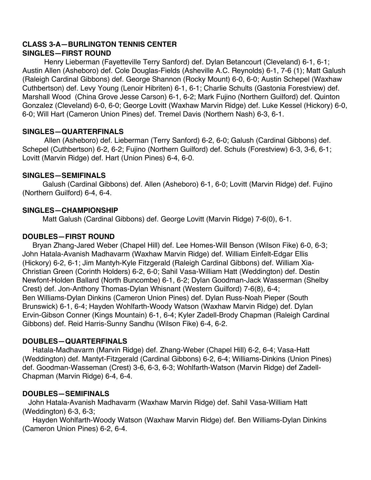# **CLASS 3-A—BURLINGTON TENNIS CENTER SINGLES—FIRST ROUND**

Henry Lieberman (Fayetteville Terry Sanford) def. Dylan Betancourt (Cleveland) 6-1, 6-1; Austin Allen (Asheboro) def. Cole Douglas-Fields (Asheville A.C. Reynolds) 6-1, 7-6 (1); Matt Galush (Raleigh Cardinal Gibbons) def. George Shannon (Rocky Mount) 6-0, 6-0; Austin Schepel (Waxhaw Cuthbertson) def. Levy Young (Lenoir Hibriten) 6-1, 6-1; Charlie Schults (Gastonia Forestview) def. Marshall Wood (China Grove Jesse Carson) 6-1, 6-2; Mark Fujino (Northern Guilford) def. Quinton Gonzalez (Cleveland) 6-0, 6-0; George Lovitt (Waxhaw Marvin Ridge) def. Luke Kessel (Hickory) 6-0, 6-0; Will Hart (Cameron Union Pines) def. Tremel Davis (Northern Nash) 6-3, 6-1.

# **SINGLES—QUARTERFINALS**

Allen (Asheboro) def. Lieberman (Terry Sanford) 6-2, 6-0; Galush (Cardinal Gibbons) def. Schepel (Cuthbertson) 6-2, 6-2; Fujino (Northern Guilford) def. Schuls (Forestview) 6-3, 3-6, 6-1; Lovitt (Marvin Ridge) def. Hart (Union Pines) 6-4, 6-0.

## **SINGLES—SEMIFINALS**

 Galush (Cardinal Gibbons) def. Allen (Asheboro) 6-1, 6-0; Lovitt (Marvin Ridge) def. Fujino (Northern Guilford) 6-4, 6-4.

## **SINGLES—CHAMPIONSHIP**

Matt Galush (Cardinal Gibbons) def. George Lovitt (Marvin Ridge) 7-6(0), 6-1.

## **DOUBLES—FIRST ROUND**

 Bryan Zhang-Jared Weber (Chapel Hill) def. Lee Homes-Will Benson (Wilson Fike) 6-0, 6-3; John Hatala-Avanish Madhavarm (Waxhaw Marvin Ridge) def. William Einfelt-Edgar Ellis (Hickory) 6-2, 6-1; Jim Mantyh-Kyle Fitzgerald (Raleigh Cardinal Gibbons) def. William Xia-Christian Green (Corinth Holders) 6-2, 6-0; Sahil Vasa-William Hatt (Weddington) def. Destin Newfont-Holden Ballard (North Buncombe) 6-1, 6-2; Dylan Goodman-Jack Wasserman (Shelby Crest) def. Jon-Anthony Thomas-Dylan Whisnant (Western Guilford) 7-6(8), 6-4; Ben Williams-Dylan Dinkins (Cameron Union Pines) def. Dylan Russ-Noah Pieper (South Brunswick) 6-1, 6-4; Hayden Wohlfarth-Woody Watson (Waxhaw Marvin Ridge) def. Dylan Ervin-Gibson Conner (Kings Mountain) 6-1, 6-4; Kyler Zadell-Brody Chapman (Raleigh Cardinal Gibbons) def. Reid Harris-Sunny Sandhu (Wilson Fike) 6-4, 6-2.

# **DOUBLES—QUARTERFINALS**

 Hatala-Madhavarm (Marvin Ridge) def. Zhang-Weber (Chapel Hill) 6-2, 6-4; Vasa-Hatt (Weddington) def. Mantyt-Fitzgerald (Cardinal Gibbons) 6-2, 6-4; Williams-Dinkins (Union Pines) def. Goodman-Wasseman (Crest) 3-6, 6-3, 6-3; Wohlfarth-Watson (Marvin Ridge) def Zadell-Chapman (Marvin Ridge) 6-4, 6-4.

# **DOUBLES—SEMIFINALS**

 John Hatala-Avanish Madhavarm (Waxhaw Marvin Ridge) def. Sahil Vasa-William Hatt (Weddington) 6-3, 6-3;

 Hayden Wohlfarth-Woody Watson (Waxhaw Marvin Ridge) def. Ben Williams-Dylan Dinkins (Cameron Union Pines) 6-2, 6-4.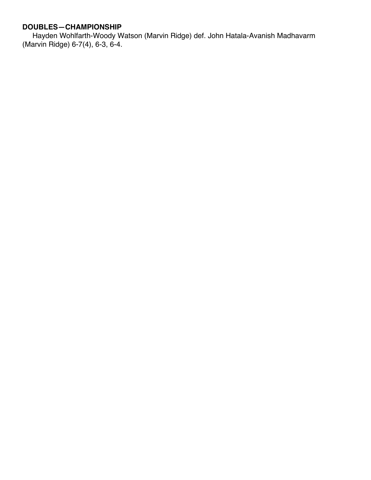# **DOUBLES—CHAMPIONSHIP**

Hayden Wohlfarth-Woody Watson (Marvin Ridge) def. John Hatala-Avanish Madhavarm (Marvin Ridge) 6-7(4), 6-3, 6-4.